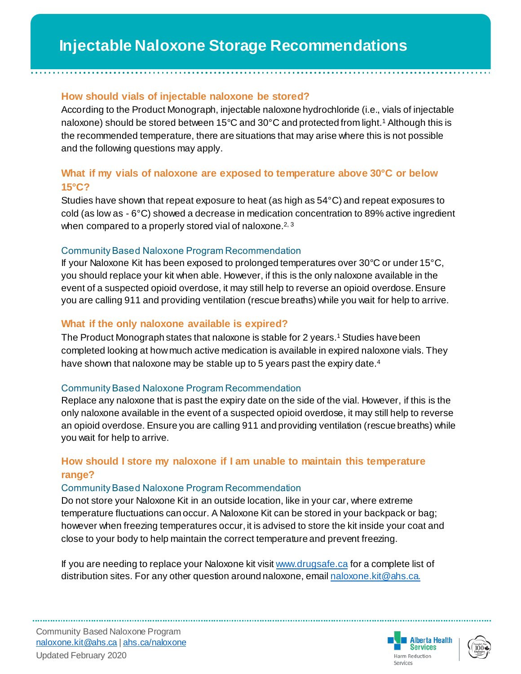### **How should vials of injectable naloxone be stored?**

According to the Product Monograph, injectable naloxone hydrochloride (i.e., vials of injectable naloxone) should be stored between 15°C and 30°C and protected from light.<sup>1</sup> Although this is the recommended temperature, there are situations that may arise where this is not possible and the following questions may apply.

## **What if my vials of naloxone are exposed to temperature above 30°C or below 15°C?**

Studies have shown that repeat exposure to heat (as high as 54°C) and repeat exposures to cold (as low as - 6°C) showed a decrease in medication concentration to 89% active ingredient when compared to a properly stored vial of naloxone.<sup>2, 3</sup>

#### Community Based Naloxone Program Recommendation

If your Naloxone Kit has been exposed to prolonged temperatures over 30°C or under 15°C, you should replace your kit when able. However, if this is the only naloxone available in the event of a suspected opioid overdose, it may still help to reverse an opioid overdose.Ensure you are calling 911 and providing ventilation (rescue breaths) while you wait for help to arrive.

#### **What if the only naloxone available is expired?**

The Product Monograph states that naloxone is stable for 2 years.<sup>1</sup> Studies have been completed looking at howmuch active medication is available in expired naloxone vials. They have shown that naloxone may be stable up to 5 years past the expiry date.<sup>4</sup>

#### Community Based Naloxone Program Recommendation

Replace any naloxone that is past the expiry date on the side of the vial. However, if this is the only naloxone available in the event of a suspected opioid overdose, it may still help to reverse an opioid overdose. Ensure you are calling 911 and providing ventilation (rescue breaths) while you wait for help to arrive.

## **How should I store my naloxone if I am unable to maintain this temperature range?**

#### Community Based Naloxone Program Recommendation

Do not store your Naloxone Kit in an outside location, like in your car, where extreme temperature fluctuations can occur. A Naloxone Kit can be stored in your backpack or bag; however when freezing temperatures occur, it is advised to store the kit inside your coat and close to your body to help maintain the correct temperature and prevent freezing.

If you are needing to replace your Naloxone kit visit [www.drugsafe.ca](http://www.drugsafe.ca/) for a complete list of distribution sites. For any other question around naloxone, emai[l naloxone.kit@ahs.ca.](mailto:naloxone.kit@ahs.ca)